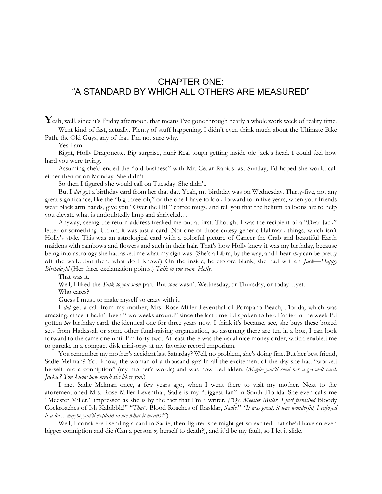## CHAPTER ONE: "A STANDARD BY WHICH ALL OTHERS ARE MEASURED"

Yeah, well, since it's Friday afternoon, that means I've gone through nearly a whole work week of reality time. Went kind of fast, actually. Plenty of stuff happening. I didn't even think much about the Ultimate Bike Path, the Old Guys, any of that. I'm not sure why.

Yes I am.

Right, Holly Dragonette. Big surprise, huh? Real tough getting inside ole Jack's head. I could feel how hard you were trying.

Assuming she'd ended the "old business" with Mr. Cedar Rapids last Sunday, I'd hoped she would call either then or on Monday. She didn't.

So then I figured she would call on Tuesday. She didn't.

But I *did* get a birthday card from her that day. Yeah, my birthday was on Wednesday. Thirty-five, not any great significance, like the "big three-oh," or the one I have to look forward to in five years, when your friends wear black arm bands, give you "Over the Hill" coffee mugs, and tell you that the helium balloons are to help you elevate what is undoubtedly limp and shriveled…

Anyway, seeing the return address freaked me out at first. Thought I was the recipient of a "Dear Jack" letter or something. Uh-uh, it was just a card. Not one of those cutesy generic Hallmark things, which isn't Holly's style. This was an astrological card with a colorful picture of Cancer the Crab and beautiful Earth maidens with rainbows and flowers and such in their hair. That's how Holly knew it was my birthday, because being into astrology she had asked me what my sign was. (She's a Libra, by the way, and I hear *they* can be pretty off the wall…but then, what do I know?) On the inside, heretofore blank, she had written *Jack—Happy Birthday!!!* (Her three exclamation points.) *Talk to you soon. Holly.*

That was it.

Well, I liked the *Talk to you soon* part. But *soon* wasn't Wednesday, or Thursday, or today…yet. Who cares?

Guess I must, to make myself so crazy with it.

I *did* get a call from my mother, Mrs. Rose Miller Leventhal of Pompano Beach, Florida, which was amazing, since it hadn't been "two weeks around" since the last time I'd spoken to her. Earlier in the week I'd gotten *her* birthday card, the identical one for three years now. I think it's because, see, she buys these boxed sets from Hadassah or some other fund-raising organization, so assuming there are ten in a box, I can look forward to the same one until I'm forty-two. At least there was the usual nice money order, which enabled me to partake in a compact disk mini-orgy at my favorite record emporium.

You remember my mother's accident last Saturday? Well, no problem, she's doing fine. But her best friend, Sadie Melman? You know, the woman of a thousand *oys?* In all the excitement of the day she had "worked herself into a conniption" (my mother's words) and was now bedridden. (*Maybe you'll send her a get-well card, Jackie? You know how much she likes you.*)

I met Sadie Melman once, a few years ago, when I went there to visit my mother. Next to the aforementioned Mrs. Rose Miller Leventhal, Sadie is my "biggest fan" in South Florida. She even calls me "Meester Miller," impressed as she is by the fact that I'm a writer. *("Oy, Meester Miller, I just feenished* Bloody Cockroaches of Ish Kabibble!" "*That's* Blood Roaches of Ibasklar, *Sadie.*" *"It was great, it was wonderful, I enjoyed it a lot…maybe you'll explain to me what it means?"*)

Well, I considered sending a card to Sadie, then figured she might get so excited that she'd have an even bigger conniption and die (Can a person *oy* herself to death?), and it'd be my fault, so I let it slide.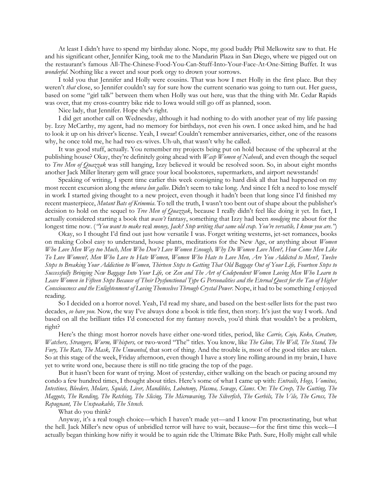At least I didn't have to spend my birthday alone. Nope, my good buddy Phil Melkowitz saw to that. He and his significant other, Jennifer King, took me to the Mandarin Plaza in San Diego, where we pigged out on the restaurant's famous All-The-Chinese-Food-You-Can-Stuff-Into-Your-Face-At-One-Sitting Buffet. It was *wonderful*. Nothing like a sweet and sour pork orgy to drown your sorrows.

I told you that Jennifer and Holly were cousins. That was how I met Holly in the first place. But they weren't *that* close, so Jennifer couldn't say for sure how the current scenario was going to turn out. Her guess, based on some "girl talk" between them when Holly was out here, was that the thing with Mr. Cedar Rapids was over, that my cross-country bike ride to Iowa would still go off as planned, soon.

Nice lady, that Jennifer. Hope she's right.

I did get another call on Wednesday, although it had nothing to do with another year of my life passing by. Izzy McCarthy, my agent, had no memory for birthdays, not even his own. I once asked him, and he had to look it up on his driver's license. Yeah, I swear! Couldn't remember anniversaries, either, one of the reasons why, he once told me, he had two ex-wives. Uh-uh, that wasn't why he called.

It was good stuff, actually. You remember my projects being put on hold because of the upheaval at the publishing house? Okay, they're definitely going ahead with *Wasp Women of Naheedi*, and even though the sequel to *Tree Men of Quazzak* was still hanging, Izzy believed it would be resolved soon. So, in about eight months another Jack Miller literary gem will grace your local bookstores, supermarkets, and airport newsstands!

Speaking of writing, I spent time earlier this week consigning to hard disk all that had happened on my most recent excursion along the *mhuva lun gallee*. Didn't seem to take long. And since I felt a need to lose myself in work I started giving thought to a new project, even though it hadn't been that long since I'd finished my recent masterpiece, *Mutant Bats of Krimmia*. To tell the truth, I wasn't too bent out of shape about the publisher's decision to hold on the sequel to *Tree Men of Quazzak*, because I really didn't feel like doing it yet. In fact, I actually considered starting a book that *wasn't* fantasy, something that Izzy had been *noodging* me about for the longest time now. (*"You want to make* real *money, Jack? Stop writing that same old crap. You're versatile, I know you are."*)

Okay, so I thought I'd find out just how versatile I was. Forget writing westerns, jet-set romances, books on making Cobol easy to understand, house plants, meditations for the New Age, or anything about *Women Who Love Men Way too Much, Men Who Don't Love Women Enough, Why Do Women Love Men?, How Come Men Like To Love Women?, Men Who Love to Hate Women, Women Who Hate to Love Men, Are You Addicted to Men?, Twelve Steps to Breaking Your Addiction to Women, Thirteen Steps to Getting That Old Baggage Out of Your Life, Fourteen Steps to Successfully Bringing New Baggage Into Your Life,* or *Zen and The Art of Codependent Women Loving Men Who Learn to Leave Women in Fifteen Steps Because of Their Dysfunctional Type G Personalities and the Eternal Quest for the Tao of Higher Consciousness and the Enlightenment of Loving Themselves Through Crystal Power*. Nope, it had to be something *I* enjoyed reading.

So I decided on a horror novel. Yeah, I'd read my share, and based on the best-seller lists for the past two decades, *so have you*. Now, the way I've always done a book is title first, then story. It's just the way I work. And based on all the brilliant titles I'd concocted for my fantasy novels, you'd think that wouldn't be a problem, right?

Here's the thing: most horror novels have either one-word titles, period, like *Carrie, Cujo, Koko, Creature, Watchers, Strangers, Wurm, Whispers,* or two-word "The" titles. You know, like *The Glow, The Well, The Stand, The Fury, The Rats, The Mask, The Unwanted*, that sort of thing. And the trouble is, most of the good titles are taken. So at this stage of the week, Friday afternoon, even though I have a story line rolling around in my brain, I have yet to write word one, because there is still no title gracing the top of the page.

But it hasn't been for want of trying. Most of yesterday, either walking on the beach or pacing around my condo a few hundred times, I thought about titles. Here's some of what I came up with: *Entrails, Hogs, Vomitus, Intestines, Bleeders, Molars, Squids, Liver, Mandibles, Lobotomy, Plasma, Sewage, Clams*. Or: *The Creep, The Gutting, The Maggots, The Rending, The Retching, The Slicing, The Microwaving, The Silverfish, The Gerbils, The Vile, The Gross, The Repugnant, The Unspeakable, The Stench.*

## What do you think?

Anyway, it's a real tough choice—which I haven't made yet—and I know I'm procrastinating, but what the hell. Jack Miller's new opus of unbridled terror will have to wait, because—for the first time this week—I actually began thinking how nifty it would be to again ride the Ultimate Bike Path. Sure, Holly might call while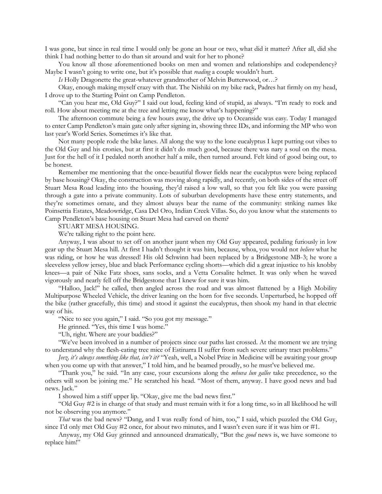I was gone, but since in real time I would only be gone an hour or two, what did it matter? After all, did she think I had nothing better to do than sit around and wait for her to phone?

You know all those aforementioned books on men and women and relationships and codependency? Maybe I wasn't going to write one, but it's possible that *reading* a couple wouldn't hurt.

*Is* Holly Dragonette the great-whatever grandmother of Melvin Butterwood, or…?

Okay, enough making myself crazy with that. The Nishiki on my bike rack, Padres hat firmly on my head, I drove up to the Starting Point on Camp Pendleton.

"Can you hear me, Old Guy?" I said out loud, feeling kind of stupid, as always. "I'm ready to rock and roll. How about meeting me at the tree and letting me know what's happening?"

The afternoon commute being a few hours away, the drive up to Oceanside was easy. Today I managed to enter Camp Pendleton's main gate only after signing in, showing three IDs, and informing the MP who won last year's World Series. Sometimes it's like that.

Not many people rode the bike lanes. All along the way to the lone eucalyptus I kept putting out vibes to the Old Guy and his cronies, but at first it didn't do much good, because there was nary a soul on the mesa. Just for the hell of it I pedaled north another half a mile, then turned around. Felt kind of good being out, to be honest.

Remember me mentioning that the once-beautiful flower fields near the eucalyptus were being replaced by base housing? Okay, the construction was moving along rapidly, and recently, on both sides of the street off Stuart Mesa Road leading into the housing, they'd raised a low wall, so that you felt like you were passing through a gate into a private community. Lots of suburban developments have these entry statements, and they're sometimes ornate, and they almost always bear the name of the community: striking names like Poinsettia Estates, Meadowridge, Casa Del Oro, Indian Creek Villas. So, do you know what the statements to Camp Pendleton's base housing on Stuart Mesa had carved on them?

STUART MESA HOUSING.

We're talking right to the point here.

Anyway, I was about to set off on another jaunt when my Old Guy appeared, pedaling furiously in low gear up the Stuart Mesa hill. At first I hadn't thought it was him, because, whoa, you would not *believe* what he was riding, or how he was dressed! His old Schwinn had been replaced by a Bridgestone MB-3; he wore a sleeveless yellow jersey, blue and black Performance cycling shorts—which did a great injustice to his knobby knees—a pair of Nike Fatz shoes, sans socks, and a Vetta Corsalite helmet. It was only when he waved vigorously and nearly fell off the Bridgestone that I knew for sure it was him.

"Halloo, Jack!" he called, then angled across the road and was almost flattened by a High Mobility Multipurpose Wheeled Vehicle, the driver leaning on the horn for five seconds. Unperturbed, he hopped off the bike (rather gracefully, this time) and stood it against the eucalyptus, then shook my hand in that electric way of his.

"Nice to see you again," I said. "So you got my message."

He grinned. "Yes, this time I was home."

"Uh, right. Where are your buddies?"

"We've been involved in a number of projects since our paths last crossed. At the moment we are trying to understand why the flesh-eating tree mice of Estinarra II suffer from such severe urinary tract problems."

*Jeez, it's always something like that, isn't it?* "Yeah, well, a Nobel Prize in Medicine will be awaiting your group when you come up with that answer," I told him, and he beamed proudly, so he must've believed me.

"Thank you," he said. "In any case, your excursions along the *mhuva lun gallee* take precedence, so the others will soon be joining me." He scratched his head. "Most of them, anyway. I have good news and bad news. Jack."

I showed him a stiff upper lip. "Okay, give me the bad news first."

"Old Guy #2 is in charge of that study and must remain with it for a long time, so in all likelihood he will not be observing you anymore."

*That* was the bad news? "Dang, and I was really fond of him, too," I said, which puzzled the Old Guy, since I'd only met Old Guy #2 once, for about two minutes, and I wasn't even sure if it was him or #1.

Anyway, my Old Guy grinned and announced dramatically, "But the *good* news is, we have someone to replace him!"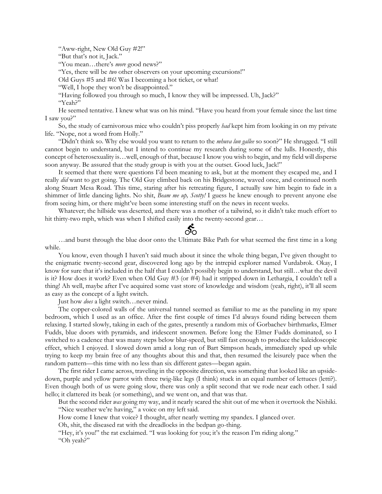"Aww-right, New Old Guy #2!"

"But that's not it, Jack."

"You mean…there's *more* good news?"

"Yes, there will be *two* other observers on your upcoming excursions!"

Old Guys #5 and #6! Was I becoming a hot ticket, or what!

"Well, I hope they won't be disappointed."

"Having followed you through so much, I know they will be impressed. Uh, Jack?" "Yeah?"

He seemed tentative. I knew what was on his mind. "Have you heard from your female since the last time I saw you?"

So, the study of carnivorous mice who couldn't piss properly *had* kept him from looking in on my private life. "Nope, not a word from Holly."

"Didn't think so. Why else would you want to return to the *mhuva lun gallee* so soon?" He shrugged. "I still cannot begin to understand, but I intend to continue my research during some of the lulls. Honestly, this concept of heterosexuality is…well, enough of that, because I know you wish to begin, and my field will disperse soon anyway. Be assured that the study group is with you at the outset. Good luck, Jack!"

It seemed that there were questions I'd been meaning to ask, but at the moment they escaped me, and I really *did* want to get going. The Old Guy climbed back on his Bridgestone, waved once, and continued north along Stuart Mesa Road. This time, staring after his retreating figure, I actually saw him begin to fade in a shimmer of little dancing lights. No shit, *Beam me up, Scotty!* I guess he knew enough to prevent anyone else from seeing him, or there might've been some interesting stuff on the news in recent weeks.

Whatever; the hillside was deserted, and there was a mother of a tailwind, so it didn't take much effort to hit thirty-two mph, which was when I shifted easily into the twenty-second gear…

## റ്റ

…and burst through the blue door onto the Ultimate Bike Path for what seemed the first time in a long while.

You know, even though I haven't said much about it since the whole thing began, I've given thought to the enigmatic twenty-second gear, discovered long ago by the intrepid explorer named Vurdabrok. Okay, I know for sure that it's included in the half that I couldn't possibly begin to understand, but still…what the devil is it? How does it work? Even when Old Guy #3 (or #4) had it stripped down in Lethargia, I couldn't tell a thing! Ah well, maybe after I've acquired some vast store of knowledge and wisdom (yeah, right), it'll all seem as easy as the concept of a light switch.

Just how *does* a light switch…never mind.

The copper-colored walls of the universal tunnel seemed as familiar to me as the paneling in my spare bedroom, which I used as an office. After the first couple of times I'd always found riding between them relaxing. I started slowly, taking in each of the gates, presently a random mix of Gorbachev birthmarks, Elmer Fudds, blue doors with pyramids, and iridescent snowmen. Before long the Elmer Fudds dominated, so I switched to a cadence that was many steps below blur-speed, but still fast enough to produce the kaleidoscopic effect, which I enjoyed. I slowed down amid a long run of Bart Simpson heads, immediately sped up while trying to keep my brain free of any thoughts about this and that, then resumed the leisurely pace when the random pattern—this time with no less than six different gates—began again.

The first rider I came across, traveling in the opposite direction, was something that looked like an upsidedown, purple and yellow parrot with three twig-like legs (I think) stuck in an equal number of lettuces (letti?). Even though both of us were going slow, there was only a split second that we rode near each other. I said hello; it clattered its beak (or something), and we went on, and that was that.

But the second rider *was* going my way, and it nearly scared the shit out of me when it overtook the Nishiki. "Nice weather we're having," a voice on my left said.

How come I knew that voice? I thought, after nearly wetting my spandex. I glanced over.

Oh, shit, the diseased rat with the dreadlocks in the bedpan go-thing.

"Hey, it's you!" the rat exclaimed. "I was looking for you; it's the reason I'm riding along." "Oh yeah?"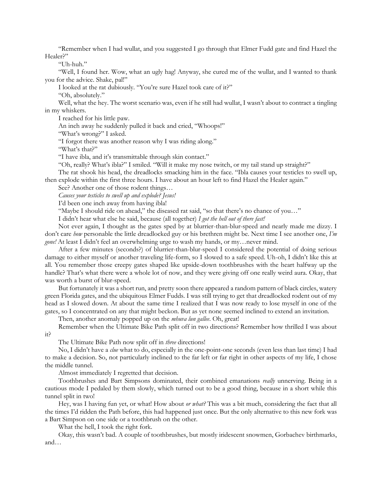"Remember when I had wullat, and you suggested I go through that Elmer Fudd gate and find Hazel the Healer?"

"Uh-huh."

"Well, I found her. Wow, what an ugly hag! Anyway, she cured me of the wullat, and I wanted to thank you for the advice. Shake, pal!"

I looked at the rat dubiously. "You're sure Hazel took care of it?"

"Oh, absolutely."

Well, what the hey. The worst scenario was, even if he still had wullat, I wasn't about to contract a tingling in my whiskers.

I reached for his little paw.

An inch away he suddenly pulled it back and cried, "Whoops!"

"What's wrong?" I asked.

"I forgot there was another reason why I was riding along."

"What's that?"

it?

"I have ibla, and it's transmittable through skin contact."

"Oh, really? What's ibla?" I smiled. "Will it make my nose twitch, or my tail stand up straight?"

The rat shook his head, the dreadlocks smacking him in the face. "Ibla causes your testicles to swell up, then explode within the first three hours. I have about an hour left to find Hazel the Healer again."

See? Another one of those rodent things…

*Causes your testicles to swell up and explode? Jesus!*

I'd been one inch away from having ibla!

"Maybe I should ride on ahead," the diseased rat said, "so that there's no chance of you…"

I didn't hear what else he said, because (all together) *I got the hell out of there fast!*

Not ever again, I thought as the gates sped by at blurrier-than-blur-speed and nearly made me dizzy. I don't care *how* personable the little dreadlocked guy or his brethren might be. Next time I see another one, *I'm gone!* At least I didn't feel an overwhelming urge to wash my hands, or my…never mind.

After a few minutes (seconds?) of blurrier-than-blur-speed I considered the potential of doing serious damage to either myself or another traveling life-form, so I slowed to a safe speed. Uh-oh, I didn't like this at all. You remember those creepy gates shaped like upside-down toothbrushes with the heart halfway up the handle? That's what there were a whole lot of now, and they were giving off one really weird aura. Okay, that was worth a burst of blur-speed.

But fortunately it was a short run, and pretty soon there appeared a random pattern of black circles, watery green Florida gates, and the ubiquitous Elmer Fudds. I was still trying to get that dreadlocked rodent out of my head as I slowed down. At about the same time I realized that I was now ready to lose myself in one of the gates, so I concentrated on any that might beckon. But as yet none seemed inclined to extend an invitation.

Then, another anomaly popped up on the *mhuva lun gallee*. Oh, great!

Remember when the Ultimate Bike Path split off in two directions? Remember how thrilled I was about

The Ultimate Bike Path now split off in *three* directions!

No, I didn't have a *clue* what to do, especially in the one-point-one seconds (even less than last time) I had to make a decision. So, not particularly inclined to the far left or far right in other aspects of my life, I chose the middle tunnel.

Almost immediately I regretted that decision.

Toothbrushes and Bart Simpsons dominated, their combined emanations *really* unnerving. Being in a cautious mode I pedaled by them slowly, which turned out to be a good thing, because in a short while this tunnel split in two!

Hey, was I having fun yet, or what! How about *or what?* This was a bit much, considering the fact that all the times I'd ridden the Path before, this had happened just once. But the only alternative to this new fork was a Bart Simpson on one side or a toothbrush on the other.

What the hell, I took the right fork.

Okay, this wasn't bad. A couple of toothbrushes, but mostly iridescent snowmen, Gorbachev birthmarks, and…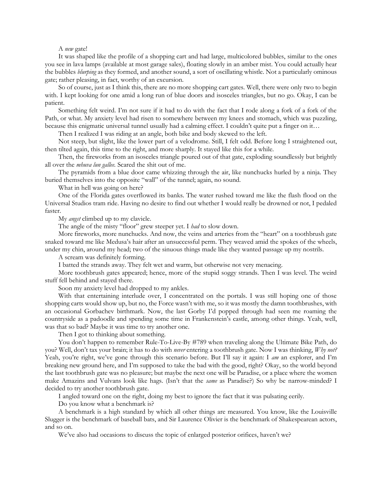## A *new* gate!

It was shaped like the profile of a shopping cart and had large, multicolored bubbles, similar to the ones you see in lava lamps (available at most garage sales), floating slowly in an amber mist. You could actually hear the bubbles *blurping* as they formed, and another sound, a sort of oscillating whistle. Not a particularly ominous gate; rather pleasing, in fact, worthy of an excursion.

So of course, just as I think this, there are no more shopping cart gates. Well, there were only two to begin with. I kept looking for one amid a long run of blue doors and isosceles triangles, but no go. Okay, I can be patient.

Something felt weird. I'm not sure if it had to do with the fact that I rode along a fork of a fork of the Path, or what. My anxiety level had risen to somewhere between my knees and stomach, which was puzzling, because this enigmatic universal tunnel usually had a calming effect. I couldn't quite put a finger on it…

Then I realized I was riding at an angle, both bike and body skewed to the left.

Not steep, but slight, like the lower part of a velodrome. Still, I felt odd. Before long I straightened out, then tilted again, this time to the right, and more sharply. It stayed like this for a while.

Then, the fireworks from an isosceles triangle poured out of that gate, exploding soundlessly but brightly all over the *mhuva lun gallee.* Scared the shit out of me.

The pyramids from a blue door came whizzing through the air, like nunchucks hurled by a ninja. They buried themselves into the opposite "wall" of the tunnel; again, no sound.

What in hell was going on here?

One of the Florida gates overflowed its banks. The water rushed toward me like the flash flood on the Universal Studios tram ride. Having no desire to find out whether I would really be drowned or not, I pedaled faster.

My *angst* climbed up to my clavicle.

The angle of the misty "floor" grew steeper yet. I *had* to slow down.

More fireworks, more nunchucks. And now, the veins and arteries from the "heart" on a toothbrush gate snaked toward me like Medusa's hair after an unsuccessful perm. They weaved amid the spokes of the wheels, under my chin, around my head; two of the sinuous things made like they wanted passage up my nostrils.

A scream was definitely forming.

I batted the strands away. They felt wet and warm, but otherwise not very menacing.

More toothbrush gates appeared; hence, more of the stupid soggy strands. Then I was level. The weird stuff fell behind and stayed there.

Soon my anxiety level had dropped to my ankles.

With that entertaining interlude over, I concentrated on the portals. I was still hoping one of those shopping carts would show up, but no, the Force wasn't with me, so it was mostly the damn toothbrushes, with an occasional Gorbachev birthmark. Now, the last Gorby I'd popped through had seen me roaming the countryside as a padoodle and spending some time in Frankenstein's castle, among other things. Yeah, well, was that so bad? Maybe it was time to try another one.

Then I got to thinking about something.

You don't happen to remember Rule-To-Live-By #789 when traveling along the Ultimate Bike Path, do you? Well, don't tax your brain; it has to do with *never* entering a toothbrush gate. Now I was thinking, *Why not?* Yeah, you're right, we've gone through this scenario before. But I'll say it again: I *am* an explorer, and I'm breaking new ground here, and I'm supposed to take the bad with the good, right? Okay, so the world beyond the last toothbrush gate was no pleasure; but maybe the next one will be Paradise, or a place where the women make Amazins and Vulvans look like hags. (Isn't that the *same* as Paradise?) So why be narrow-minded? I decided to try another toothbrush gate.

I angled toward one on the right, doing my best to ignore the fact that it was pulsating eerily.

Do you know what a benchmark is?

A benchmark is a high standard by which all other things are measured. You know, like the Louisville Slugger is the benchmark of baseball bats, and Sir Laurence Olivier is the benchmark of Shakespearean actors, and so on.

We've also had occasions to discuss the topic of enlarged posterior orifices, haven't we?